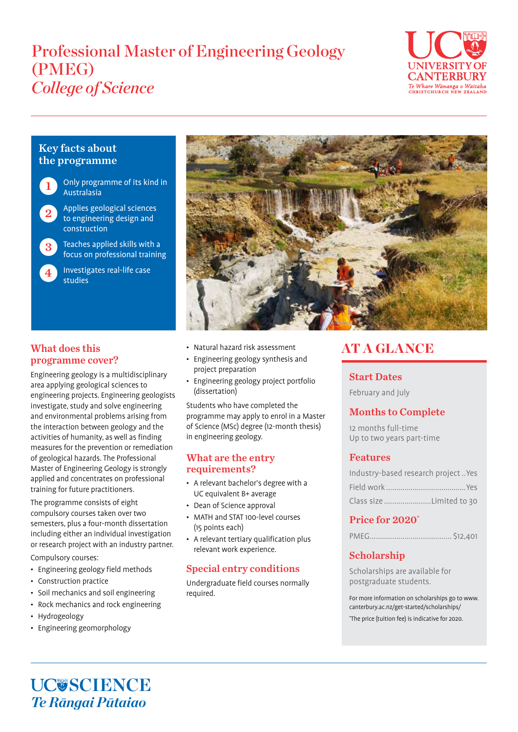# Professional Master of Engineering Geology (PMEG) *College of Science*



# Key facts about the programme

Only programme of its kind in Australasia 1

- Applies geological sciences to engineering design and construction 2
- Teaches applied skills with a focus on professional training 3
	- Investigates real-life case studies



# What does this programme cover?

Engineering geology is a multidisciplinary area applying geological sciences to engineering projects. Engineering geologists investigate, study and solve engineering and environmental problems arising from the interaction between geology and the activities of humanity, as well as finding measures for the prevention or remediation of geological hazards. The Professional Master of Engineering Geology is strongly applied and concentrates on professional training for future practitioners.

The programme consists of eight compulsory courses taken over two semesters, plus a four-month dissertation including either an individual investigation or research project with an industry partner.

Compulsory courses:

- Engineering geology field methods
- Construction practice
- Soil mechanics and soil engineering
- Rock mechanics and rock engineering
- Hydrogeology
- Engineering geomorphology
- Natural hazard risk assessment
- Engineering geology synthesis and project preparation
- Engineering geology project portfolio (dissertation)

Students who have completed the programme may apply to enrol in a Master of Science (MSc) degree (12-month thesis) in engineering geology.

#### What are the entry requirements?

- A relevant bachelor's degree with a UC equivalent B+ average
- Dean of Science approval
- MATH and STAT 100-level courses (15 points each)
- A relevant tertiary qualification plus relevant work experience.

# Special entry conditions

Undergraduate field courses normally required.

# AT A GLANCE

### Start Dates

February and July

# Months to Complete

12 months full-time Up to two years part-time

# Features

| Industry-based research projectYes |
|------------------------------------|
|                                    |
| Class size Limited to 30           |

### Price for 2020\*

|--|--|

# Scholarship

Scholarships are available for postgraduate students.

For more information on scholarships go to www. canterbury.ac.nz/get-started/scholarships/ \* The price (tuition fee) is indicative for 2020.

UC**USCIENCE** *Te Rāngai Pūtaiao*